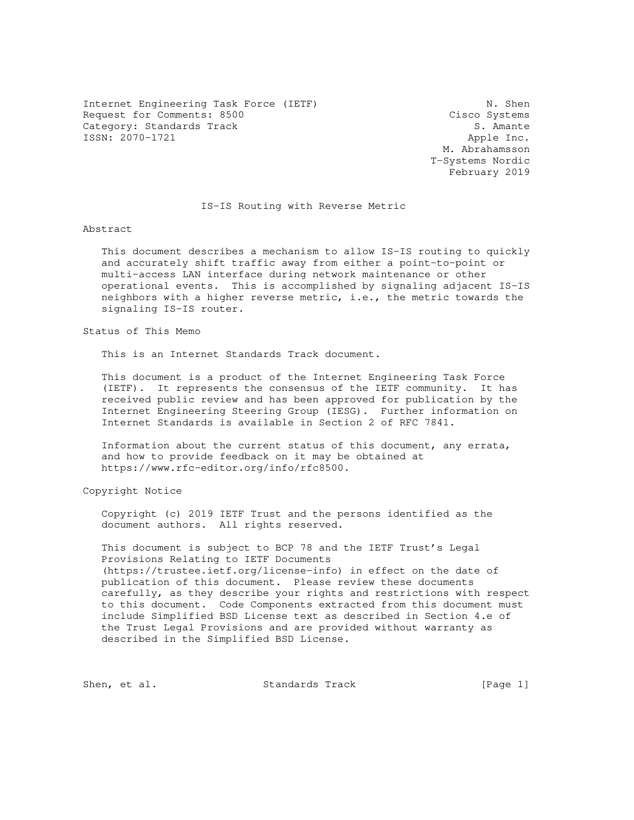Internet Engineering Task Force (IETF) N. Shen Request for Comments: 8500 Cisco Systems Category: Standards Track S. Amante ISSN: 2070-1721 Apple Inc.

 M. Abrahamsson T-Systems Nordic February 2019

### IS-IS Routing with Reverse Metric

Abstract

 This document describes a mechanism to allow IS-IS routing to quickly and accurately shift traffic away from either a point-to-point or multi-access LAN interface during network maintenance or other operational events. This is accomplished by signaling adjacent IS-IS neighbors with a higher reverse metric, i.e., the metric towards the signaling IS-IS router.

Status of This Memo

This is an Internet Standards Track document.

 This document is a product of the Internet Engineering Task Force (IETF). It represents the consensus of the IETF community. It has received public review and has been approved for publication by the Internet Engineering Steering Group (IESG). Further information on Internet Standards is available in Section 2 of RFC 7841.

 Information about the current status of this document, any errata, and how to provide feedback on it may be obtained at https://www.rfc-editor.org/info/rfc8500.

Copyright Notice

 Copyright (c) 2019 IETF Trust and the persons identified as the document authors. All rights reserved.

 This document is subject to BCP 78 and the IETF Trust's Legal Provisions Relating to IETF Documents (https://trustee.ietf.org/license-info) in effect on the date of publication of this document. Please review these documents carefully, as they describe your rights and restrictions with respect to this document. Code Components extracted from this document must include Simplified BSD License text as described in Section 4.e of the Trust Legal Provisions and are provided without warranty as described in the Simplified BSD License.

Shen, et al. Standards Track [Page 1]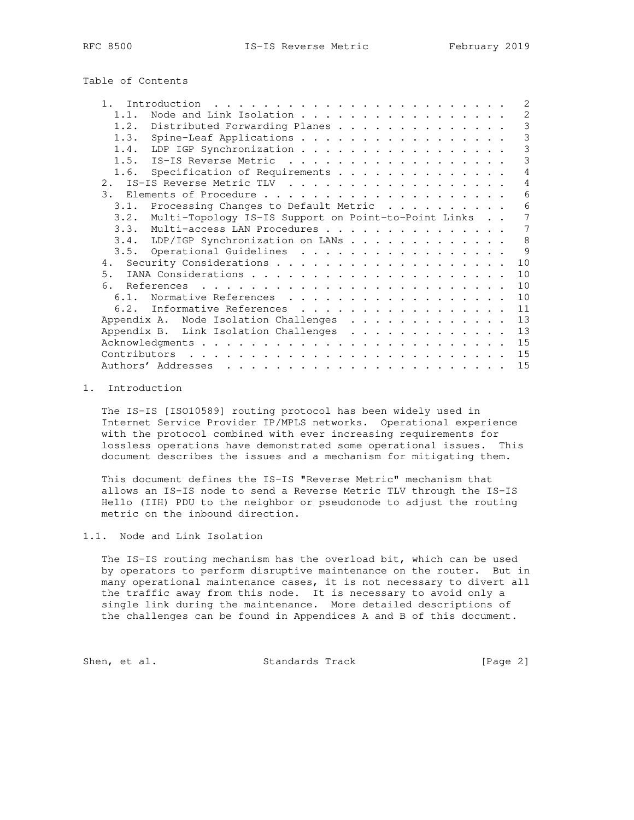Table of Contents

| 1 <sup>1</sup><br>Introduction<br>$\mathbf{r}$ , $\mathbf{r}$ , $\mathbf{r}$ , $\mathbf{r}$<br>. | 2  |
|--------------------------------------------------------------------------------------------------|----|
| Node and Link Isolation<br>1.1.                                                                  | 2  |
| 1.2.<br>Distributed Forwarding Planes                                                            | 3  |
| Spine-Leaf Applications<br>1.3.                                                                  | 3  |
| LDP IGP Synchronization<br>1.4.                                                                  | 3  |
| IS-IS Reverse Metric<br>1.5.                                                                     | 3  |
| Specification of Requirements<br>1.6.                                                            | 4  |
| 2. IS-IS Reverse Metric TLV                                                                      | 4  |
| 3.                                                                                               | 6  |
| Processing Changes to Default Metric<br>3.1.                                                     | 6  |
| Multi-Topology IS-IS Support on Point-to-Point Links<br>3.2.                                     | 7  |
| 3.3. Multi-access LAN Procedures                                                                 | 7  |
| 3.4. LDP/IGP Synchronization on LANs                                                             | 8  |
| 3.5. Operational Guidelines                                                                      | 9  |
|                                                                                                  | 10 |
| 5.                                                                                               | 10 |
| 6.                                                                                               | 10 |
| Normative References<br>6.1.                                                                     | 10 |
| 6.2. Informative References                                                                      | 11 |
| Appendix A. Node Isolation Challenges                                                            | 13 |
| Appendix B. Link Isolation Challenges                                                            | 13 |
|                                                                                                  | 15 |
| Contributors                                                                                     | 15 |
| Authors' Addresses                                                                               | 15 |

#### 1. Introduction

 The IS-IS [ISO10589] routing protocol has been widely used in Internet Service Provider IP/MPLS networks. Operational experience with the protocol combined with ever increasing requirements for lossless operations have demonstrated some operational issues. This document describes the issues and a mechanism for mitigating them.

 This document defines the IS-IS "Reverse Metric" mechanism that allows an IS-IS node to send a Reverse Metric TLV through the IS-IS Hello (IIH) PDU to the neighbor or pseudonode to adjust the routing metric on the inbound direction.

1.1. Node and Link Isolation

 The IS-IS routing mechanism has the overload bit, which can be used by operators to perform disruptive maintenance on the router. But in many operational maintenance cases, it is not necessary to divert all the traffic away from this node. It is necessary to avoid only a single link during the maintenance. More detailed descriptions of the challenges can be found in Appendices A and B of this document.

Shen, et al. Standards Track [Page 2]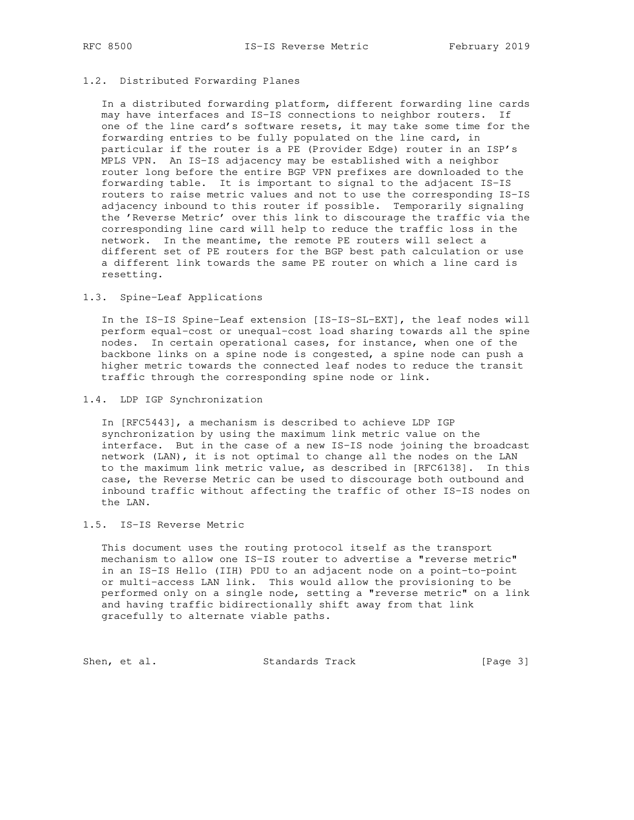## 1.2. Distributed Forwarding Planes

 In a distributed forwarding platform, different forwarding line cards may have interfaces and IS-IS connections to neighbor routers. If one of the line card's software resets, it may take some time for the forwarding entries to be fully populated on the line card, in particular if the router is a PE (Provider Edge) router in an ISP's MPLS VPN. An IS-IS adjacency may be established with a neighbor router long before the entire BGP VPN prefixes are downloaded to the forwarding table. It is important to signal to the adjacent IS-IS routers to raise metric values and not to use the corresponding IS-IS adjacency inbound to this router if possible. Temporarily signaling the 'Reverse Metric' over this link to discourage the traffic via the corresponding line card will help to reduce the traffic loss in the network. In the meantime, the remote PE routers will select a different set of PE routers for the BGP best path calculation or use a different link towards the same PE router on which a line card is resetting.

# 1.3. Spine-Leaf Applications

 In the IS-IS Spine-Leaf extension [IS-IS-SL-EXT], the leaf nodes will perform equal-cost or unequal-cost load sharing towards all the spine nodes. In certain operational cases, for instance, when one of the backbone links on a spine node is congested, a spine node can push a higher metric towards the connected leaf nodes to reduce the transit traffic through the corresponding spine node or link.

1.4. LDP IGP Synchronization

 In [RFC5443], a mechanism is described to achieve LDP IGP synchronization by using the maximum link metric value on the interface. But in the case of a new IS-IS node joining the broadcast network (LAN), it is not optimal to change all the nodes on the LAN to the maximum link metric value, as described in [RFC6138]. In this case, the Reverse Metric can be used to discourage both outbound and inbound traffic without affecting the traffic of other IS-IS nodes on the LAN.

#### 1.5. IS-IS Reverse Metric

 This document uses the routing protocol itself as the transport mechanism to allow one IS-IS router to advertise a "reverse metric" in an IS-IS Hello (IIH) PDU to an adjacent node on a point-to-point or multi-access LAN link. This would allow the provisioning to be performed only on a single node, setting a "reverse metric" on a link and having traffic bidirectionally shift away from that link gracefully to alternate viable paths.

Shen, et al. Standards Track [Page 3]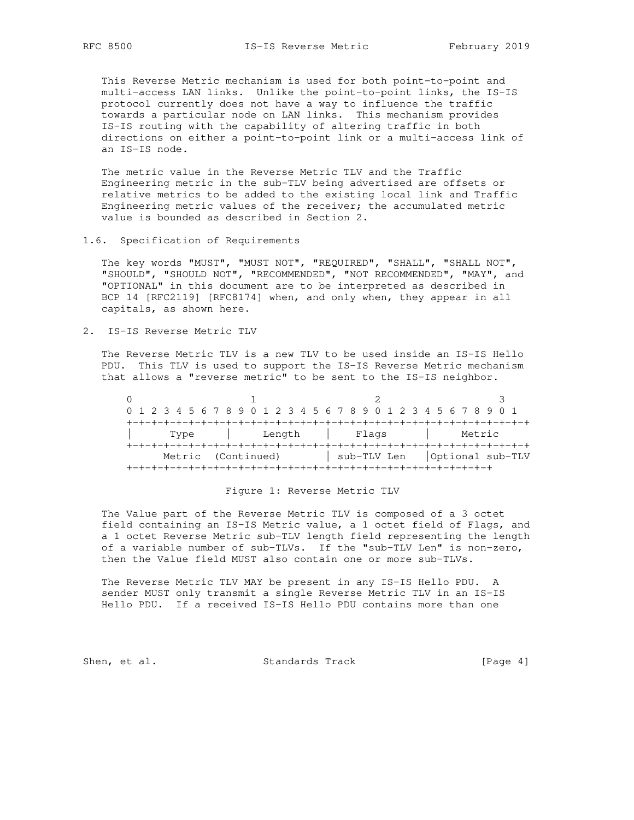This Reverse Metric mechanism is used for both point-to-point and multi-access LAN links. Unlike the point-to-point links, the IS-IS protocol currently does not have a way to influence the traffic towards a particular node on LAN links. This mechanism provides IS-IS routing with the capability of altering traffic in both directions on either a point-to-point link or a multi-access link of an IS-IS node.

 The metric value in the Reverse Metric TLV and the Traffic Engineering metric in the sub-TLV being advertised are offsets or relative metrics to be added to the existing local link and Traffic Engineering metric values of the receiver; the accumulated metric value is bounded as described in Section 2.

1.6. Specification of Requirements

 The key words "MUST", "MUST NOT", "REQUIRED", "SHALL", "SHALL NOT", "SHOULD", "SHOULD NOT", "RECOMMENDED", "NOT RECOMMENDED", "MAY", and "OPTIONAL" in this document are to be interpreted as described in BCP 14 [RFC2119] [RFC8174] when, and only when, they appear in all capitals, as shown here.

2. IS-IS Reverse Metric TLV

 The Reverse Metric TLV is a new TLV to be used inside an IS-IS Hello PDU. This TLV is used to support the IS-IS Reverse Metric mechanism that allows a "reverse metric" to be sent to the IS-IS neighbor.

| 0 1 2 3 4 5 6 7 8 9 0 1 2 3 4 5 6 7 8 9 0 1 2 3 4 5 6 7 8 9 0 1 |      |        |  |  |  |  |             |  |  |        |  |  |             |  |  |  |  |        |  |  |  |  |  |  |  |                  |
|-----------------------------------------------------------------|------|--------|--|--|--|--|-------------|--|--|--------|--|--|-------------|--|--|--|--|--------|--|--|--|--|--|--|--|------------------|
|                                                                 |      |        |  |  |  |  |             |  |  |        |  |  |             |  |  |  |  |        |  |  |  |  |  |  |  |                  |
|                                                                 | Type |        |  |  |  |  |             |  |  | Length |  |  | Flags       |  |  |  |  | Metric |  |  |  |  |  |  |  |                  |
|                                                                 |      |        |  |  |  |  |             |  |  |        |  |  |             |  |  |  |  |        |  |  |  |  |  |  |  |                  |
|                                                                 |      | Metric |  |  |  |  | (Continued) |  |  |        |  |  | sub-TLV Len |  |  |  |  |        |  |  |  |  |  |  |  | Optional sub-TLV |
|                                                                 |      |        |  |  |  |  |             |  |  |        |  |  |             |  |  |  |  |        |  |  |  |  |  |  |  |                  |

## Figure 1: Reverse Metric TLV

 The Value part of the Reverse Metric TLV is composed of a 3 octet field containing an IS-IS Metric value, a 1 octet field of Flags, and a 1 octet Reverse Metric sub-TLV length field representing the length of a variable number of sub-TLVs. If the "sub-TLV Len" is non-zero, then the Value field MUST also contain one or more sub-TLVs.

 The Reverse Metric TLV MAY be present in any IS-IS Hello PDU. A sender MUST only transmit a single Reverse Metric TLV in an IS-IS Hello PDU. If a received IS-IS Hello PDU contains more than one

Shen, et al. Standards Track [Page 4]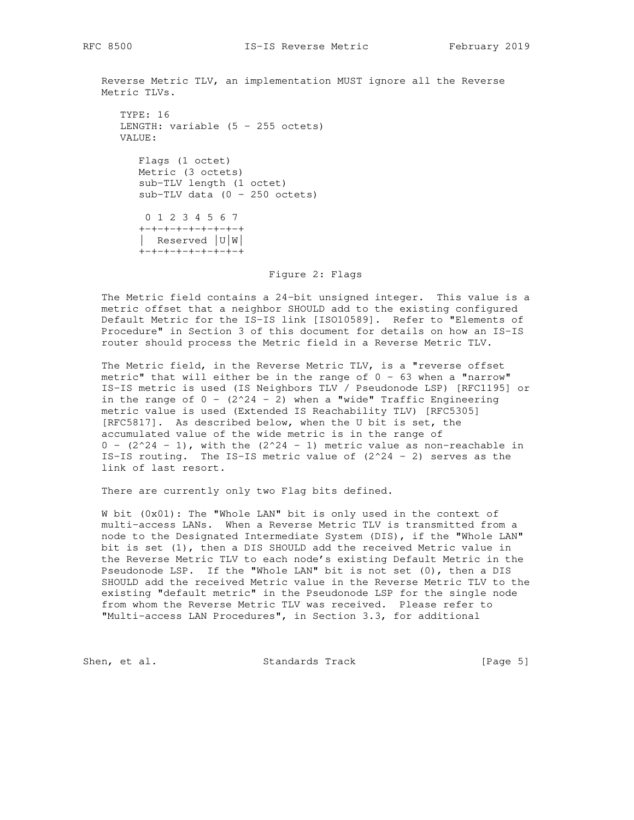Reverse Metric TLV, an implementation MUST ignore all the Reverse Metric TLVs.

```
 TYPE: 16
LENGTH: variable (5 - 255 octets)
 VALUE:
   Flags (1 octet)
```
 Metric (3 octets) sub-TLV length (1 octet) sub-TLV data  $(0 - 250 \text{ octets})$ 

 0 1 2 3 4 5 6 7 +-+-+-+-+-+-+-+-+ | Reserved |U|W| +-+-+-+-+-+-+-+-+

Figure 2: Flags

 The Metric field contains a 24-bit unsigned integer. This value is a metric offset that a neighbor SHOULD add to the existing configured Default Metric for the IS-IS link [ISO10589]. Refer to "Elements of Procedure" in Section 3 of this document for details on how an IS-IS router should process the Metric field in a Reverse Metric TLV.

 The Metric field, in the Reverse Metric TLV, is a "reverse offset metric" that will either be in the range of  $0 - 63$  when a "narrow" IS-IS metric is used (IS Neighbors TLV / Pseudonode LSP) [RFC1195] or in the range of  $0 - (2^24 - 2)$  when a "wide" Traffic Engineering metric value is used (Extended IS Reachability TLV) [RFC5305] [RFC5817]. As described below, when the U bit is set, the accumulated value of the wide metric is in the range of  $0 - (2^24 - 1)$ , with the  $(2^24 - 1)$  metric value as non-reachable in IS-IS routing. The IS-IS metric value of  $(2^224 - 2)$  serves as the link of last resort.

There are currently only two Flag bits defined.

 W bit (0x01): The "Whole LAN" bit is only used in the context of multi-access LANs. When a Reverse Metric TLV is transmitted from a node to the Designated Intermediate System (DIS), if the "Whole LAN" bit is set (1), then a DIS SHOULD add the received Metric value in the Reverse Metric TLV to each node's existing Default Metric in the Pseudonode LSP. If the "Whole LAN" bit is not set (0), then a DIS SHOULD add the received Metric value in the Reverse Metric TLV to the existing "default metric" in the Pseudonode LSP for the single node from whom the Reverse Metric TLV was received. Please refer to "Multi-access LAN Procedures", in Section 3.3, for additional

Shen, et al. Standards Track [Page 5]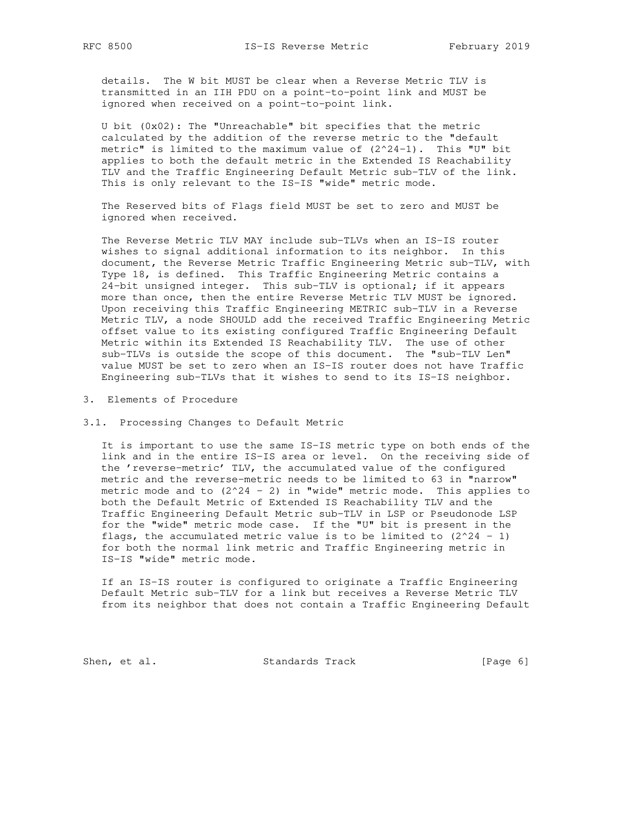details. The W bit MUST be clear when a Reverse Metric TLV is transmitted in an IIH PDU on a point-to-point link and MUST be ignored when received on a point-to-point link.

 U bit (0x02): The "Unreachable" bit specifies that the metric calculated by the addition of the reverse metric to the "default metric" is limited to the maximum value of  $(2^24-1)$ . This "U" bit applies to both the default metric in the Extended IS Reachability TLV and the Traffic Engineering Default Metric sub-TLV of the link. This is only relevant to the IS-IS "wide" metric mode.

 The Reserved bits of Flags field MUST be set to zero and MUST be ignored when received.

 The Reverse Metric TLV MAY include sub-TLVs when an IS-IS router wishes to signal additional information to its neighbor. In this document, the Reverse Metric Traffic Engineering Metric sub-TLV, with Type 18, is defined. This Traffic Engineering Metric contains a 24-bit unsigned integer. This sub-TLV is optional; if it appears more than once, then the entire Reverse Metric TLV MUST be ignored. Upon receiving this Traffic Engineering METRIC sub-TLV in a Reverse Metric TLV, a node SHOULD add the received Traffic Engineering Metric offset value to its existing configured Traffic Engineering Default Metric within its Extended IS Reachability TLV. The use of other sub-TLVs is outside the scope of this document. The "sub-TLV Len" value MUST be set to zero when an IS-IS router does not have Traffic Engineering sub-TLVs that it wishes to send to its IS-IS neighbor.

3. Elements of Procedure

3.1. Processing Changes to Default Metric

 It is important to use the same IS-IS metric type on both ends of the link and in the entire IS-IS area or level. On the receiving side of the 'reverse-metric' TLV, the accumulated value of the configured metric and the reverse-metric needs to be limited to 63 in "narrow" metric mode and to  $(2^24 - 2)$  in "wide" metric mode. This applies to both the Default Metric of Extended IS Reachability TLV and the Traffic Engineering Default Metric sub-TLV in LSP or Pseudonode LSP for the "wide" metric mode case. If the "U" bit is present in the flags, the accumulated metric value is to be limited to  $(2^224 - 1)$  for both the normal link metric and Traffic Engineering metric in IS-IS "wide" metric mode.

 If an IS-IS router is configured to originate a Traffic Engineering Default Metric sub-TLV for a link but receives a Reverse Metric TLV from its neighbor that does not contain a Traffic Engineering Default

Shen, et al. Standards Track [Page 6]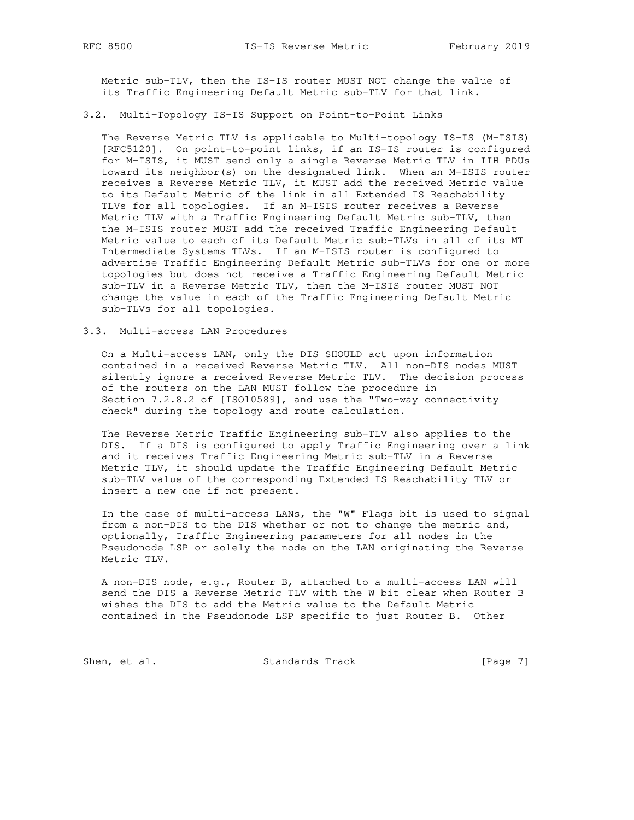Metric sub-TLV, then the IS-IS router MUST NOT change the value of its Traffic Engineering Default Metric sub-TLV for that link.

#### 3.2. Multi-Topology IS-IS Support on Point-to-Point Links

 The Reverse Metric TLV is applicable to Multi-topology IS-IS (M-ISIS) [RFC5120]. On point-to-point links, if an IS-IS router is configured for M-ISIS, it MUST send only a single Reverse Metric TLV in IIH PDUs toward its neighbor(s) on the designated link. When an M-ISIS router receives a Reverse Metric TLV, it MUST add the received Metric value to its Default Metric of the link in all Extended IS Reachability TLVs for all topologies. If an M-ISIS router receives a Reverse Metric TLV with a Traffic Engineering Default Metric sub-TLV, then the M-ISIS router MUST add the received Traffic Engineering Default Metric value to each of its Default Metric sub-TLVs in all of its MT Intermediate Systems TLVs. If an M-ISIS router is configured to advertise Traffic Engineering Default Metric sub-TLVs for one or more topologies but does not receive a Traffic Engineering Default Metric sub-TLV in a Reverse Metric TLV, then the M-ISIS router MUST NOT change the value in each of the Traffic Engineering Default Metric sub-TLVs for all topologies.

## 3.3. Multi-access LAN Procedures

 On a Multi-access LAN, only the DIS SHOULD act upon information contained in a received Reverse Metric TLV. All non-DIS nodes MUST silently ignore a received Reverse Metric TLV. The decision process of the routers on the LAN MUST follow the procedure in Section 7.2.8.2 of [ISO10589], and use the "Two-way connectivity check" during the topology and route calculation.

 The Reverse Metric Traffic Engineering sub-TLV also applies to the DIS. If a DIS is configured to apply Traffic Engineering over a link and it receives Traffic Engineering Metric sub-TLV in a Reverse Metric TLV, it should update the Traffic Engineering Default Metric sub-TLV value of the corresponding Extended IS Reachability TLV or insert a new one if not present.

 In the case of multi-access LANs, the "W" Flags bit is used to signal from a non-DIS to the DIS whether or not to change the metric and, optionally, Traffic Engineering parameters for all nodes in the Pseudonode LSP or solely the node on the LAN originating the Reverse Metric TLV.

 A non-DIS node, e.g., Router B, attached to a multi-access LAN will send the DIS a Reverse Metric TLV with the W bit clear when Router B wishes the DIS to add the Metric value to the Default Metric contained in the Pseudonode LSP specific to just Router B. Other

Shen, et al. Standards Track [Page 7]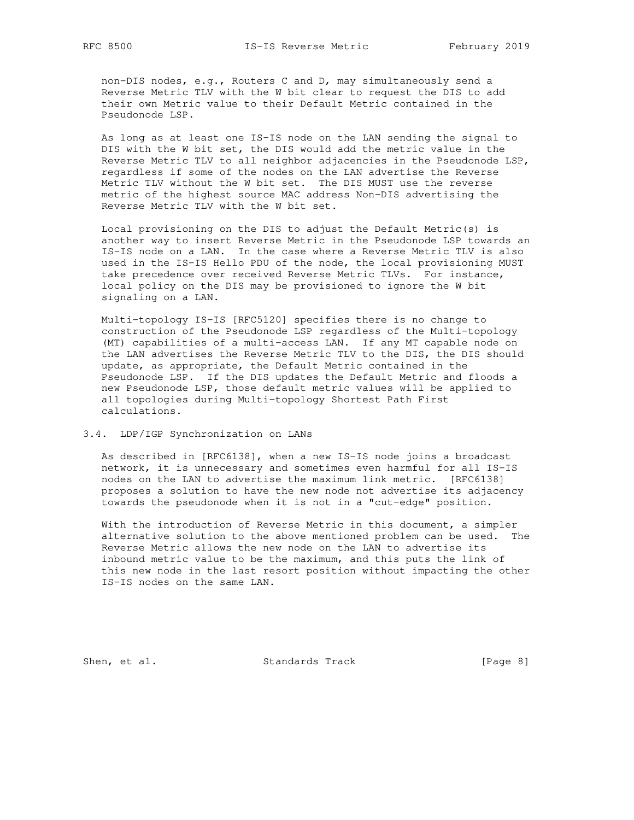non-DIS nodes, e.g., Routers C and D, may simultaneously send a Reverse Metric TLV with the W bit clear to request the DIS to add their own Metric value to their Default Metric contained in the Pseudonode LSP.

 As long as at least one IS-IS node on the LAN sending the signal to DIS with the W bit set, the DIS would add the metric value in the Reverse Metric TLV to all neighbor adjacencies in the Pseudonode LSP, regardless if some of the nodes on the LAN advertise the Reverse Metric TLV without the W bit set. The DIS MUST use the reverse metric of the highest source MAC address Non-DIS advertising the Reverse Metric TLV with the W bit set.

 Local provisioning on the DIS to adjust the Default Metric(s) is another way to insert Reverse Metric in the Pseudonode LSP towards an IS-IS node on a LAN. In the case where a Reverse Metric TLV is also used in the IS-IS Hello PDU of the node, the local provisioning MUST take precedence over received Reverse Metric TLVs. For instance, local policy on the DIS may be provisioned to ignore the W bit signaling on a LAN.

 Multi-topology IS-IS [RFC5120] specifies there is no change to construction of the Pseudonode LSP regardless of the Multi-topology (MT) capabilities of a multi-access LAN. If any MT capable node on the LAN advertises the Reverse Metric TLV to the DIS, the DIS should update, as appropriate, the Default Metric contained in the Pseudonode LSP. If the DIS updates the Default Metric and floods a new Pseudonode LSP, those default metric values will be applied to all topologies during Multi-topology Shortest Path First calculations.

#### 3.4. LDP/IGP Synchronization on LANs

 As described in [RFC6138], when a new IS-IS node joins a broadcast network, it is unnecessary and sometimes even harmful for all IS-IS nodes on the LAN to advertise the maximum link metric. [RFC6138] proposes a solution to have the new node not advertise its adjacency towards the pseudonode when it is not in a "cut-edge" position.

 With the introduction of Reverse Metric in this document, a simpler alternative solution to the above mentioned problem can be used. The Reverse Metric allows the new node on the LAN to advertise its inbound metric value to be the maximum, and this puts the link of this new node in the last resort position without impacting the other IS-IS nodes on the same LAN.

Shen, et al. Standards Track [Page 8]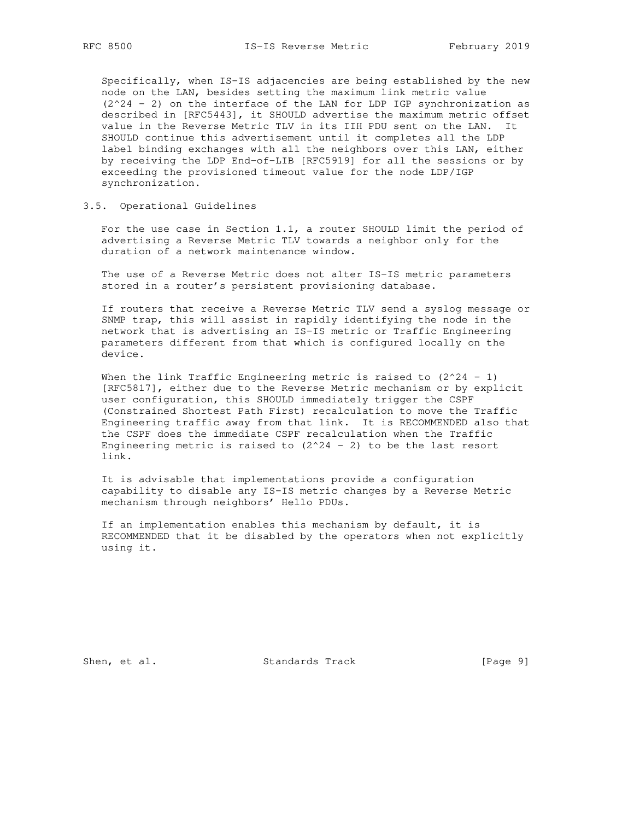Specifically, when IS-IS adjacencies are being established by the new node on the LAN, besides setting the maximum link metric value  $(2^24 - 2)$  on the interface of the LAN for LDP IGP synchronization as described in [RFC5443], it SHOULD advertise the maximum metric offset value in the Reverse Metric TLV in its IIH PDU sent on the LAN. It SHOULD continue this advertisement until it completes all the LDP label binding exchanges with all the neighbors over this LAN, either by receiving the LDP End-of-LIB [RFC5919] for all the sessions or by exceeding the provisioned timeout value for the node LDP/IGP synchronization.

## 3.5. Operational Guidelines

 For the use case in Section 1.1, a router SHOULD limit the period of advertising a Reverse Metric TLV towards a neighbor only for the duration of a network maintenance window.

 The use of a Reverse Metric does not alter IS-IS metric parameters stored in a router's persistent provisioning database.

 If routers that receive a Reverse Metric TLV send a syslog message or SNMP trap, this will assist in rapidly identifying the node in the network that is advertising an IS-IS metric or Traffic Engineering parameters different from that which is configured locally on the device.

When the link Traffic Engineering metric is raised to  $(2^24 - 1)$  [RFC5817], either due to the Reverse Metric mechanism or by explicit user configuration, this SHOULD immediately trigger the CSPF (Constrained Shortest Path First) recalculation to move the Traffic Engineering traffic away from that link. It is RECOMMENDED also that the CSPF does the immediate CSPF recalculation when the Traffic Engineering metric is raised to  $(2^224 - 2)$  to be the last resort link.

 It is advisable that implementations provide a configuration capability to disable any IS-IS metric changes by a Reverse Metric mechanism through neighbors' Hello PDUs.

 If an implementation enables this mechanism by default, it is RECOMMENDED that it be disabled by the operators when not explicitly using it.

Shen, et al. Standards Track [Page 9]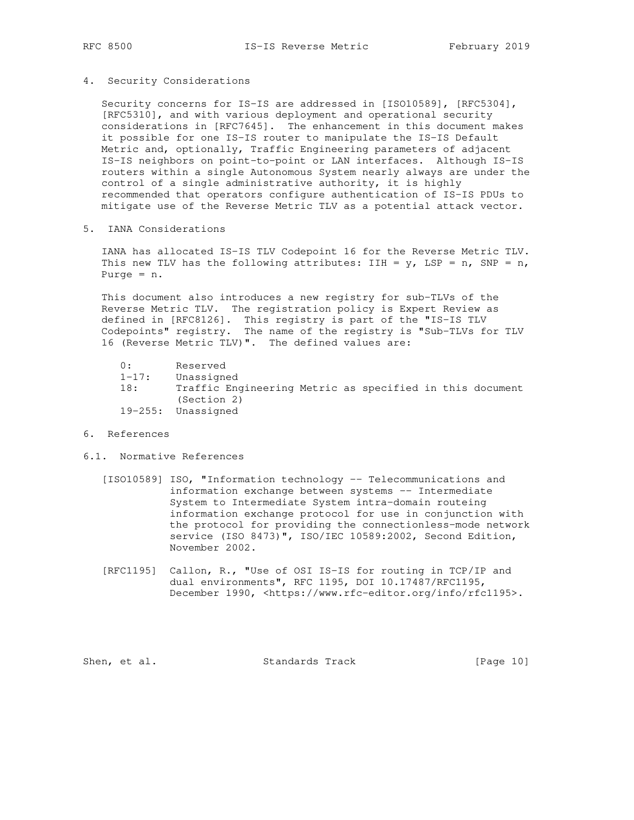4. Security Considerations

 Security concerns for IS-IS are addressed in [ISO10589], [RFC5304], [RFC5310], and with various deployment and operational security considerations in [RFC7645]. The enhancement in this document makes it possible for one IS-IS router to manipulate the IS-IS Default Metric and, optionally, Traffic Engineering parameters of adjacent IS-IS neighbors on point-to-point or LAN interfaces. Although IS-IS routers within a single Autonomous System nearly always are under the control of a single administrative authority, it is highly recommended that operators configure authentication of IS-IS PDUs to mitigate use of the Reverse Metric TLV as a potential attack vector.

5. IANA Considerations

 IANA has allocated IS-IS TLV Codepoint 16 for the Reverse Metric TLV. This new TLV has the following attributes: IIH =  $y$ , LSP =  $n$ , SNP =  $n$ , Purge = n.

 This document also introduces a new registry for sub-TLVs of the Reverse Metric TLV. The registration policy is Expert Review as defined in [RFC8126]. This registry is part of the "IS-IS TLV Codepoints" registry. The name of the registry is "Sub-TLVs for TLV 16 (Reverse Metric TLV)". The defined values are:

- 0: Reserved
- 1-17: Unassigned<br>18: Traffic Eng
- 18: Traffic Engineering Metric as specified in this document (Section 2) 19-255: Unassigned
- 6. References
- 6.1. Normative References
	- [ISO10589] ISO, "Information technology -- Telecommunications and information exchange between systems -- Intermediate System to Intermediate System intra-domain routeing information exchange protocol for use in conjunction with the protocol for providing the connectionless-mode network service (ISO 8473)", ISO/IEC 10589:2002, Second Edition, November 2002.
	- [RFC1195] Callon, R., "Use of OSI IS-IS for routing in TCP/IP and dual environments", RFC 1195, DOI 10.17487/RFC1195, December 1990, <https://www.rfc-editor.org/info/rfc1195>.

Shen, et al. Standards Track [Page 10]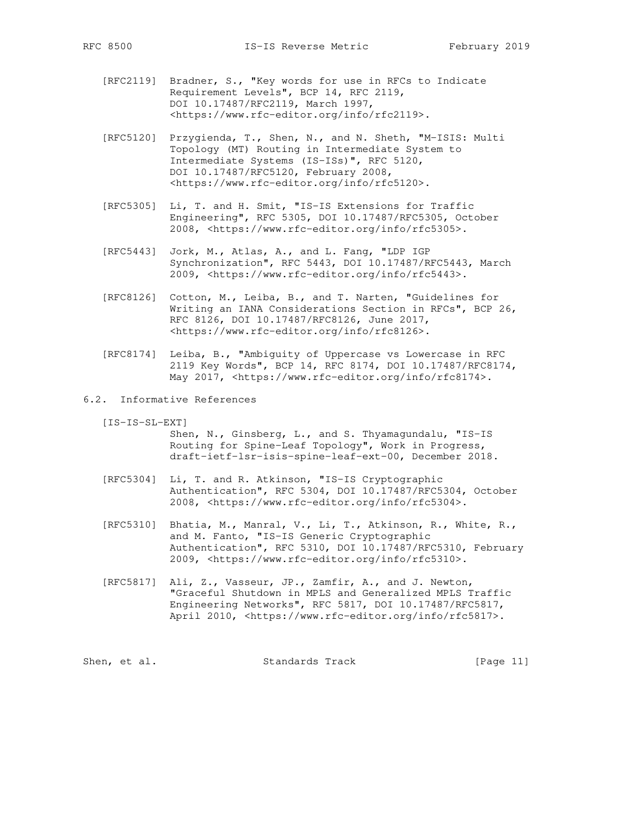- [RFC2119] Bradner, S., "Key words for use in RFCs to Indicate Requirement Levels", BCP 14, RFC 2119, DOI 10.17487/RFC2119, March 1997, <https://www.rfc-editor.org/info/rfc2119>.
- [RFC5120] Przygienda, T., Shen, N., and N. Sheth, "M-ISIS: Multi Topology (MT) Routing in Intermediate System to Intermediate Systems (IS-ISs)", RFC 5120, DOI 10.17487/RFC5120, February 2008, <https://www.rfc-editor.org/info/rfc5120>.
- [RFC5305] Li, T. and H. Smit, "IS-IS Extensions for Traffic Engineering", RFC 5305, DOI 10.17487/RFC5305, October 2008, <https://www.rfc-editor.org/info/rfc5305>.
- [RFC5443] Jork, M., Atlas, A., and L. Fang, "LDP IGP Synchronization", RFC 5443, DOI 10.17487/RFC5443, March 2009, <https://www.rfc-editor.org/info/rfc5443>.
- [RFC8126] Cotton, M., Leiba, B., and T. Narten, "Guidelines for Writing an IANA Considerations Section in RFCs", BCP 26, RFC 8126, DOI 10.17487/RFC8126, June 2017, <https://www.rfc-editor.org/info/rfc8126>.
- [RFC8174] Leiba, B., "Ambiguity of Uppercase vs Lowercase in RFC 2119 Key Words", BCP 14, RFC 8174, DOI 10.17487/RFC8174, May 2017, <https://www.rfc-editor.org/info/rfc8174>.
- 6.2. Informative References
	- [IS-IS-SL-EXT]

 Shen, N., Ginsberg, L., and S. Thyamagundalu, "IS-IS Routing for Spine-Leaf Topology", Work in Progress, draft-ietf-lsr-isis-spine-leaf-ext-00, December 2018.

- [RFC5304] Li, T. and R. Atkinson, "IS-IS Cryptographic Authentication", RFC 5304, DOI 10.17487/RFC5304, October 2008, <https://www.rfc-editor.org/info/rfc5304>.
- [RFC5310] Bhatia, M., Manral, V., Li, T., Atkinson, R., White, R., and M. Fanto, "IS-IS Generic Cryptographic Authentication", RFC 5310, DOI 10.17487/RFC5310, February 2009, <https://www.rfc-editor.org/info/rfc5310>.
- [RFC5817] Ali, Z., Vasseur, JP., Zamfir, A., and J. Newton, "Graceful Shutdown in MPLS and Generalized MPLS Traffic Engineering Networks", RFC 5817, DOI 10.17487/RFC5817, April 2010, <https://www.rfc-editor.org/info/rfc5817>.

|  | Shen, et al. | Standards Track | [Page 11] |  |
|--|--------------|-----------------|-----------|--|
|--|--------------|-----------------|-----------|--|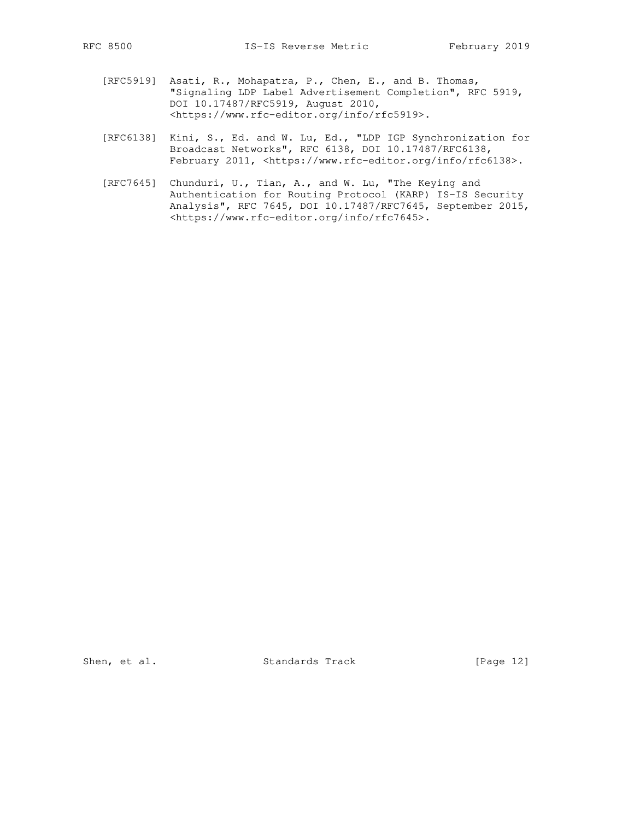- [RFC5919] Asati, R., Mohapatra, P., Chen, E., and B. Thomas, "Signaling LDP Label Advertisement Completion", RFC 5919, DOI 10.17487/RFC5919, August 2010, <https://www.rfc-editor.org/info/rfc5919>.
- [RFC6138] Kini, S., Ed. and W. Lu, Ed., "LDP IGP Synchronization for Broadcast Networks", RFC 6138, DOI 10.17487/RFC6138, February 2011, <https://www.rfc-editor.org/info/rfc6138>.
- [RFC7645] Chunduri, U., Tian, A., and W. Lu, "The Keying and Authentication for Routing Protocol (KARP) IS-IS Security Analysis", RFC 7645, DOI 10.17487/RFC7645, September 2015, <https://www.rfc-editor.org/info/rfc7645>.

Shen, et al. Standards Track [Page 12]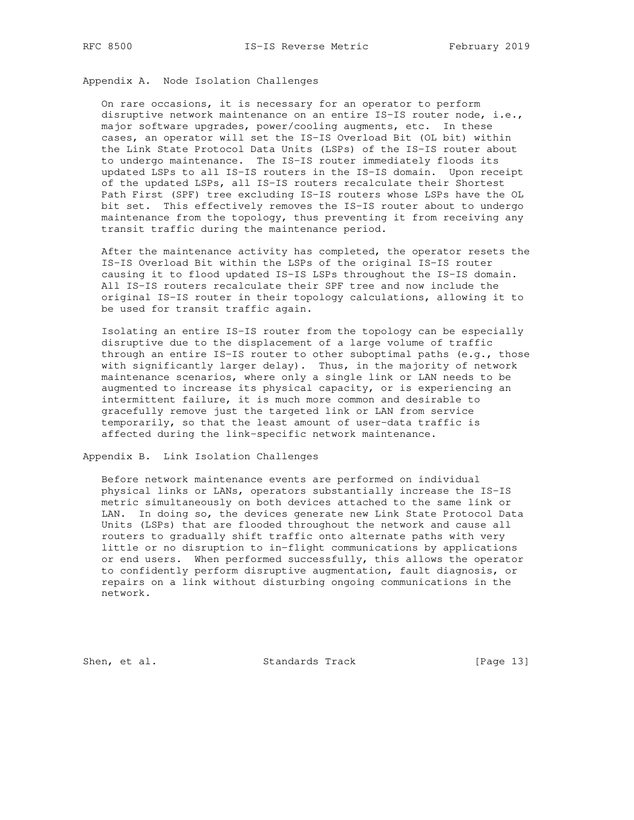Appendix A. Node Isolation Challenges

 On rare occasions, it is necessary for an operator to perform disruptive network maintenance on an entire IS-IS router node, i.e., major software upgrades, power/cooling augments, etc. In these cases, an operator will set the IS-IS Overload Bit (OL bit) within the Link State Protocol Data Units (LSPs) of the IS-IS router about to undergo maintenance. The IS-IS router immediately floods its updated LSPs to all IS-IS routers in the IS-IS domain. Upon receipt of the updated LSPs, all IS-IS routers recalculate their Shortest Path First (SPF) tree excluding IS-IS routers whose LSPs have the OL bit set. This effectively removes the IS-IS router about to undergo maintenance from the topology, thus preventing it from receiving any transit traffic during the maintenance period.

 After the maintenance activity has completed, the operator resets the IS-IS Overload Bit within the LSPs of the original IS-IS router causing it to flood updated IS-IS LSPs throughout the IS-IS domain. All IS-IS routers recalculate their SPF tree and now include the original IS-IS router in their topology calculations, allowing it to be used for transit traffic again.

 Isolating an entire IS-IS router from the topology can be especially disruptive due to the displacement of a large volume of traffic through an entire IS-IS router to other suboptimal paths (e.g., those with significantly larger delay). Thus, in the majority of network maintenance scenarios, where only a single link or LAN needs to be augmented to increase its physical capacity, or is experiencing an intermittent failure, it is much more common and desirable to gracefully remove just the targeted link or LAN from service temporarily, so that the least amount of user-data traffic is affected during the link-specific network maintenance.

Appendix B. Link Isolation Challenges

 Before network maintenance events are performed on individual physical links or LANs, operators substantially increase the IS-IS metric simultaneously on both devices attached to the same link or LAN. In doing so, the devices generate new Link State Protocol Data Units (LSPs) that are flooded throughout the network and cause all routers to gradually shift traffic onto alternate paths with very little or no disruption to in-flight communications by applications or end users. When performed successfully, this allows the operator to confidently perform disruptive augmentation, fault diagnosis, or repairs on a link without disturbing ongoing communications in the network.

Shen, et al. Standards Track [Page 13]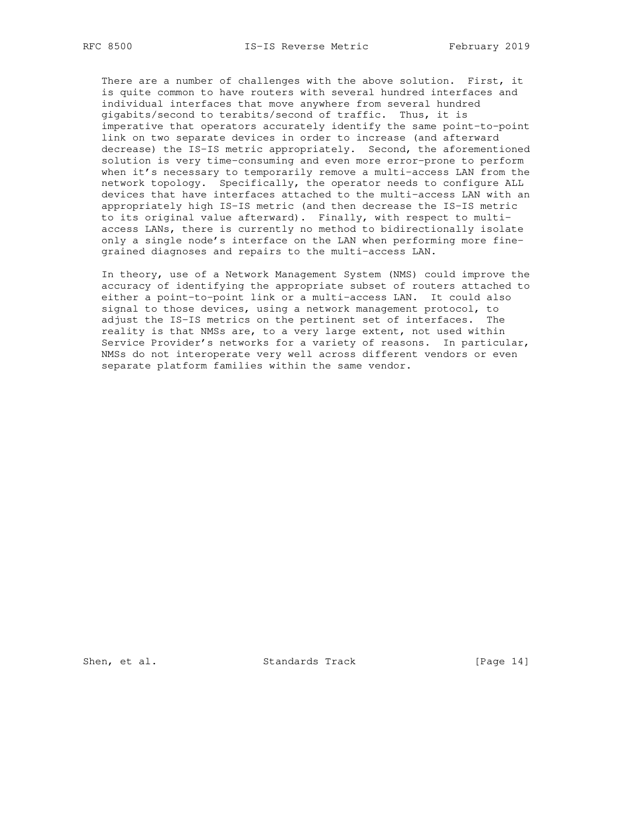There are a number of challenges with the above solution. First, it is quite common to have routers with several hundred interfaces and individual interfaces that move anywhere from several hundred gigabits/second to terabits/second of traffic. Thus, it is imperative that operators accurately identify the same point-to-point link on two separate devices in order to increase (and afterward decrease) the IS-IS metric appropriately. Second, the aforementioned solution is very time-consuming and even more error-prone to perform when it's necessary to temporarily remove a multi-access LAN from the network topology. Specifically, the operator needs to configure ALL devices that have interfaces attached to the multi-access LAN with an appropriately high IS-IS metric (and then decrease the IS-IS metric to its original value afterward). Finally, with respect to multi access LANs, there is currently no method to bidirectionally isolate only a single node's interface on the LAN when performing more fine grained diagnoses and repairs to the multi-access LAN.

 In theory, use of a Network Management System (NMS) could improve the accuracy of identifying the appropriate subset of routers attached to either a point-to-point link or a multi-access LAN. It could also signal to those devices, using a network management protocol, to adjust the IS-IS metrics on the pertinent set of interfaces. The reality is that NMSs are, to a very large extent, not used within Service Provider's networks for a variety of reasons. In particular, NMSs do not interoperate very well across different vendors or even separate platform families within the same vendor.

Shen, et al. Standards Track [Page 14]